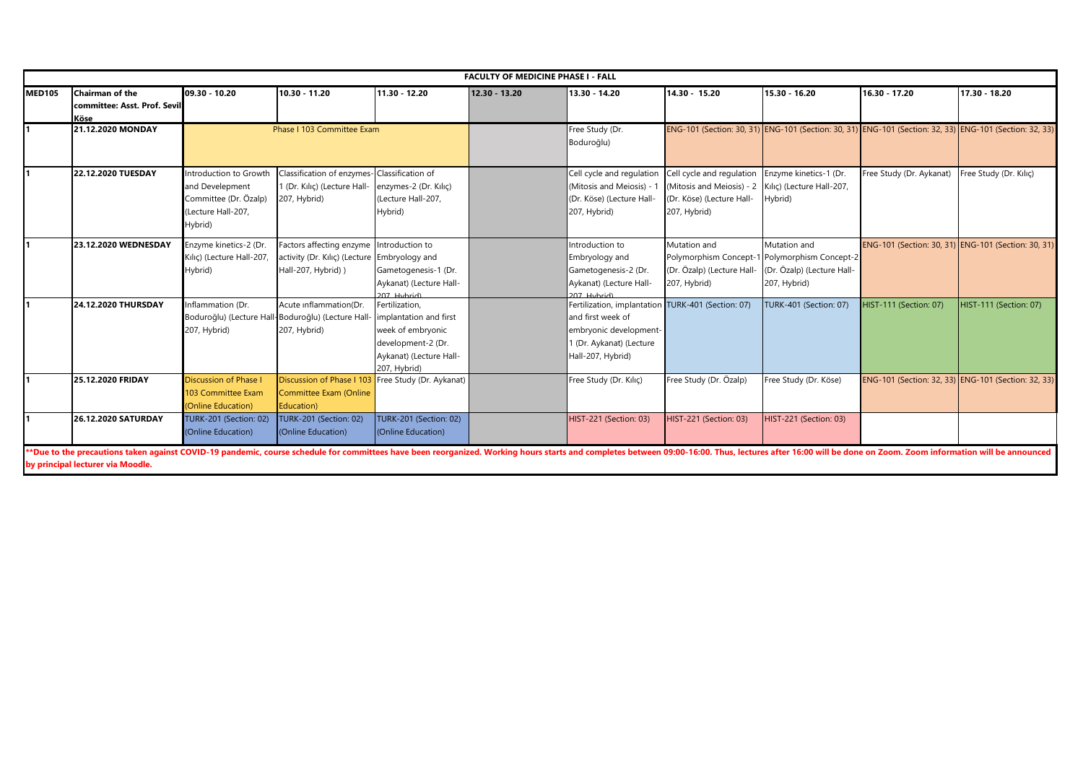|               |                                                                |                                                                                                     |                                                                                                 |                                                                                                                                | <b>FACULTY OF MEDICINE PHASE I - FALL</b> |                                                                                                                                                    |                                                                                                     |                                                                                      |                                                                                                         |                        |
|---------------|----------------------------------------------------------------|-----------------------------------------------------------------------------------------------------|-------------------------------------------------------------------------------------------------|--------------------------------------------------------------------------------------------------------------------------------|-------------------------------------------|----------------------------------------------------------------------------------------------------------------------------------------------------|-----------------------------------------------------------------------------------------------------|--------------------------------------------------------------------------------------|---------------------------------------------------------------------------------------------------------|------------------------|
| <b>MED105</b> | <b>Chairman of the</b><br>committee: Asst. Prof. Sevil<br>Köse | 09.30 - 10.20                                                                                       | $10.30 - 11.20$                                                                                 | 11.30 - 12.20                                                                                                                  | 12.30 - 13.20                             | 13.30 - 14.20                                                                                                                                      | $14.30 - 15.20$                                                                                     | 15.30 - 16.20                                                                        | 16.30 - 17.20                                                                                           | 17.30 - 18.20          |
|               | 21.12.2020 MONDAY                                              |                                                                                                     | Phase I 103 Committee Exam                                                                      |                                                                                                                                |                                           | Free Study (Dr.<br>Boduroğlu)                                                                                                                      |                                                                                                     |                                                                                      | ENG-101 (Section: 30, 31) ENG-101 (Section: 30, 31) ENG-101 (Section: 32, 33) ENG-101 (Section: 32, 33) |                        |
|               | 22.12.2020 TUESDAY                                             | Introduction to Growth<br>and Develepment<br>Committee (Dr. Özalp)<br>(Lecture Hall-207,<br>Hybrid) | Classification of enzymes- Classification of<br>1 (Dr. Kılıc) (Lecture Hall-<br>207, Hybrid)    | enzymes-2 (Dr. Kılıç)<br>(Lecture Hall-207,<br>Hybrid)                                                                         |                                           | Cell cycle and regulation<br>(Mitosis and Meiosis) - 1<br>(Dr. Köse) (Lecture Hall-<br>207, Hybrid)                                                | Cell cycle and regulation<br>(Mitosis and Meiosis) - 2<br>(Dr. Köse) (Lecture Hall-<br>207, Hybrid) | Enzyme kinetics-1 (Dr.<br>Kılıç) (Lecture Hall-207,<br>Hybrid)                       | Free Study (Dr. Aykanat)                                                                                | Free Study (Dr. Kılıc) |
|               | 23.12.2020 WEDNESDAY                                           | Enzyme kinetics-2 (Dr.<br>Kılıç) (Lecture Hall-207,<br>Hybrid)                                      | Factors affecting enzyme Introduction to<br>activity (Dr. Kılıç) (Lecture<br>Hall-207, Hybrid)) | Embryology and<br>Gametogenesis-1 (Dr.<br>Aykanat) (Lecture Hall-<br>707 Hyhrid)                                               |                                           | Introduction to<br>Embryology and<br>Gametogenesis-2 (Dr.<br>Aykanat) (Lecture Hall-<br>(pindyl R02                                                | Mutation and<br>Polymorphism Concept-1<br>(Dr. Özalp) (Lecture Hall-<br>207, Hybrid)                | Mutation and<br>Polymorphism Concept-2<br>(Dr. Özalp) (Lecture Hall-<br>207, Hybrid) | ENG-101 (Section: 30, 31) ENG-101 (Section: 30, 31)                                                     |                        |
|               | 24.12.2020 THURSDAY                                            | Inflammation (Dr.<br>207, Hybrid)                                                                   | Acute inflammation(Dr.<br>Boduroğlu) (Lecture Hall-Boduroğlu) (Lecture Hall<br>207, Hybrid)     | Fertilization,<br>implantation and first<br>week of embryonic<br>development-2 (Dr.<br>Aykanat) (Lecture Hall-<br>207, Hybrid) |                                           | Fertilization, implantation TURK-401 (Section: 07)<br>and first week of<br>embryonic development-<br>I (Dr. Aykanat) (Lecture<br>Hall-207, Hybrid) |                                                                                                     | TURK-401 (Section: 07)                                                               | HIST-111 (Section: 07)                                                                                  | HIST-111 (Section: 07) |
|               | 25.12.2020 FRIDAY                                              | <b>Discussion of Phase I</b><br>103 Committee Exam<br>(Online Education)                            | Discussion of Phase I 103<br><b>Committee Exam (Online</b><br>Education)                        | Free Study (Dr. Aykanat)                                                                                                       |                                           | Free Study (Dr. Kılıç)                                                                                                                             | Free Study (Dr. Özalp)                                                                              | Free Study (Dr. Köse)                                                                | ENG-101 (Section: 32, 33) ENG-101 (Section: 32, 33)                                                     |                        |
|               | 26.12.2020 SATURDAY                                            | <b>TURK-201 (Section: 02)</b><br>(Online Education)                                                 | <b>TURK-201 (Section: 02)</b><br>(Online Education)                                             | <b>TURK-201 (Section: 02)</b><br>(Online Education)                                                                            |                                           | HIST-221 (Section: 03)                                                                                                                             | <b>HIST-221 (Section: 03)</b>                                                                       | HIST-221 (Section: 03)                                                               |                                                                                                         |                        |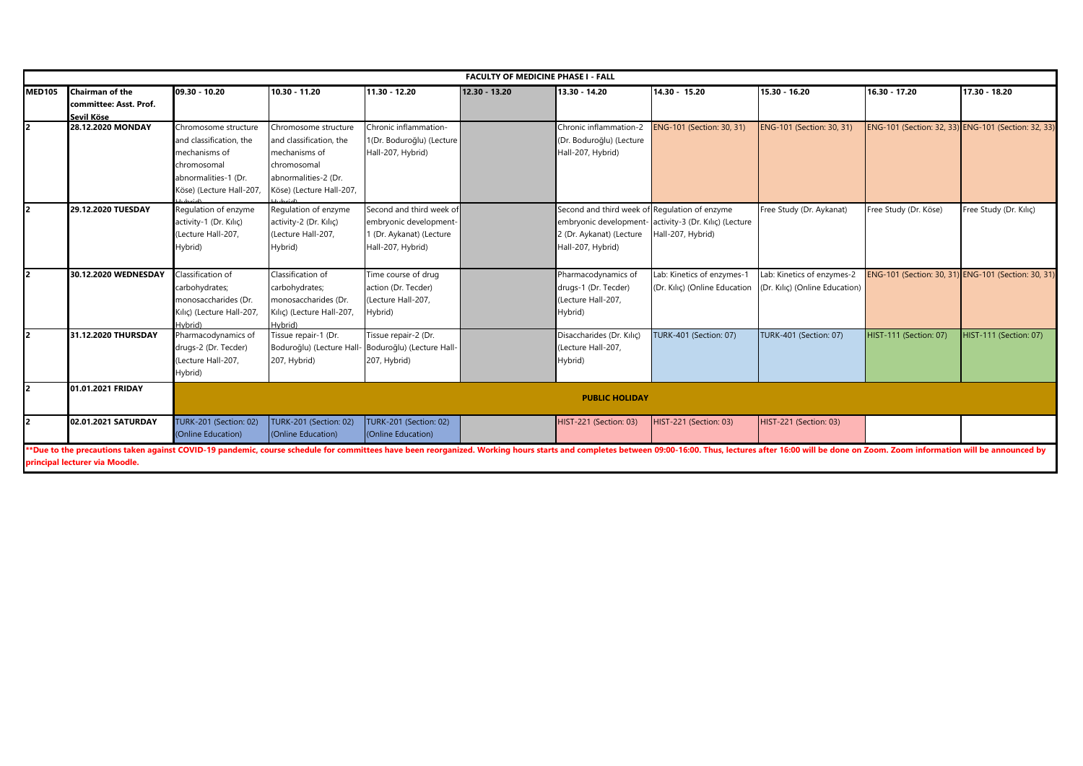| <b>FACULTY OF MEDICINE PHASE I - FALL</b> |                                                                |                                                                                                                                     |                                                                                                                                     |                                                                                                     |               |                                                                                                |                                                                             |                                                              |                        |                                                     |
|-------------------------------------------|----------------------------------------------------------------|-------------------------------------------------------------------------------------------------------------------------------------|-------------------------------------------------------------------------------------------------------------------------------------|-----------------------------------------------------------------------------------------------------|---------------|------------------------------------------------------------------------------------------------|-----------------------------------------------------------------------------|--------------------------------------------------------------|------------------------|-----------------------------------------------------|
| <b>MED105</b>                             | <b>Chairman of the</b><br>committee: Asst. Prof.<br>Sevil Köse | 09.30 - 10.20                                                                                                                       | 10.30 - 11.20                                                                                                                       | $\sqrt{11.30 - 12.20}$                                                                              | 12.30 - 13.20 | 13.30 - 14.20                                                                                  | 14.30 - 15.20                                                               | 15.30 - 16.20                                                | 16.30 - 17.20          | 17.30 - 18.20                                       |
|                                           | 28.12.2020 MONDAY                                              | Chromosome structure<br>and classification, the<br>mechanisms of<br>chromosomal<br>abnormalities-1 (Dr.<br>Köse) (Lecture Hall-207, | Chromosome structure<br>and classification, the<br>mechanisms of<br>chromosomal<br>abnormalities-2 (Dr.<br>Köse) (Lecture Hall-207, | Chronic inflammation-<br>1(Dr. Boduroğlu) (Lecture<br>Hall-207, Hybrid)                             |               | Chronic inflammation-2<br>(Dr. Boduroğlu) (Lecture<br>Hall-207, Hybrid)                        | ENG-101 (Section: 30, 31)                                                   | ENG-101 (Section: 30, 31)                                    |                        | ENG-101 (Section: 32, 33) ENG-101 (Section: 32, 33) |
|                                           | 29.12.2020 TUESDAY                                             | Regulation of enzyme<br>activity-1 (Dr. Kılıç)<br>(Lecture Hall-207,<br>Hybrid)                                                     | Regulation of enzyme<br>activity-2 (Dr. Kılıç)<br>(Lecture Hall-207,<br>Hybrid)                                                     | Second and third week of<br>embryonic development-<br>1 (Dr. Aykanat) (Lecture<br>Hall-207, Hybrid) |               | Second and third week of Regulation of enzyme<br>2 (Dr. Aykanat) (Lecture<br>Hall-207, Hybrid) | embryonic development- activity-3 (Dr. Kılıç) (Lecture<br>Hall-207, Hybrid) | Free Study (Dr. Aykanat)                                     | Free Study (Dr. Köse)  | Free Study (Dr. Kılıç)                              |
|                                           | 30.12.2020 WEDNESDAY                                           | Classification of<br>carbohydrates;<br>monosaccharides (Dr.<br>Kılıc) (Lecture Hall-207,<br>Hybrid)                                 | Classification of<br>carbohydrates;<br>monosaccharides (Dr.<br>Kılıç) (Lecture Hall-207,<br>Hybrid)                                 | Time course of drug<br>action (Dr. Tecder)<br>(Lecture Hall-207,<br>Hybrid)                         |               | Pharmacodynamics of<br>drugs-1 (Dr. Tecder)<br>(Lecture Hall-207,<br>Hybrid)                   | Lab: Kinetics of enzymes-1<br>(Dr. Kılıç) (Online Education                 | Lab: Kinetics of enzymes-2<br>(Dr. Kılıç) (Online Education) |                        | ENG-101 (Section: 30, 31) ENG-101 (Section: 30, 31) |
|                                           | 31.12.2020 THURSDAY                                            | Pharmacodynamics of<br>drugs-2 (Dr. Tecder)<br>(Lecture Hall-207,<br>Hybrid)                                                        | Tissue repair-1 (Dr.<br>Boduroğlu) (Lecture Hall<br>207, Hybrid)                                                                    | Tissue repair-2 (Dr.<br>Boduroğlu) (Lecture Hall-<br>207, Hybrid)                                   |               | Disaccharides (Dr. Kılıç)<br>(Lecture Hall-207,<br>Hybrid)                                     | TURK-401 (Section: 07)                                                      | <b>TURK-401 (Section: 07)</b>                                | HIST-111 (Section: 07) | <b>HIST-111 (Section: 07)</b>                       |
|                                           | 01.01.2021 FRIDAY                                              |                                                                                                                                     |                                                                                                                                     |                                                                                                     |               | <b>PUBLIC HOLIDAY</b>                                                                          |                                                                             |                                                              |                        |                                                     |
|                                           | 02.01.2021 SATURDAY                                            | <b>TURK-201 (Section: 02)</b><br>(Online Education)                                                                                 | <b>TURK-201 (Section: 02)</b><br>(Online Education)                                                                                 | TURK-201 (Section: 02)<br>(Online Education)                                                        |               | HIST-221 (Section: 03)                                                                         | HIST-221 (Section: 03)                                                      | HIST-221 (Section: 03)                                       |                        |                                                     |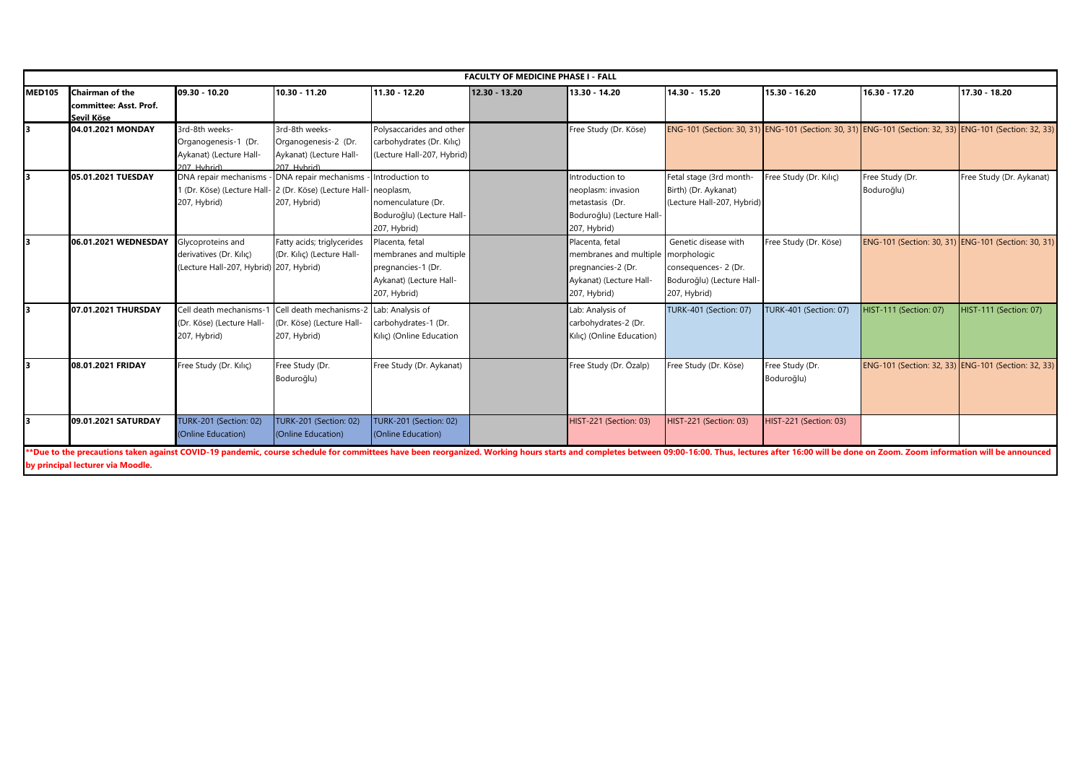|               |                                                         |                                                                                         |                                                                                                  |                                                                                                            | <b>FACULTY OF MEDICINE PHASE I - FALL</b> |                                                                                                                        |                                                                                                         |                               |                                                     |                          |
|---------------|---------------------------------------------------------|-----------------------------------------------------------------------------------------|--------------------------------------------------------------------------------------------------|------------------------------------------------------------------------------------------------------------|-------------------------------------------|------------------------------------------------------------------------------------------------------------------------|---------------------------------------------------------------------------------------------------------|-------------------------------|-----------------------------------------------------|--------------------------|
| <b>MED105</b> | Chairman of the<br>committee: Asst. Prof.<br>Sevil Köse | 09.30 - 10.20                                                                           | 10.30 - 11.20                                                                                    | 11.30 - 12.20                                                                                              | 12.30 - 13.20                             | 13.30 - 14.20                                                                                                          | 14.30 - 15.20                                                                                           | 15.30 - 16.20                 | 16.30 - 17.20                                       | 17.30 - 18.20            |
|               | 04.01.2021 MONDAY                                       | 3rd-8th weeks-<br>Organogenesis-1 (Dr.<br>Aykanat) (Lecture Hall-<br>207 Hybrid)        | 3rd-8th weeks-<br>Organogenesis-2 (Dr.<br>Aykanat) (Lecture Hall-<br>207 Hybrid)                 | Polysaccarides and other<br>carbohydrates (Dr. Kılıç)<br>(Lecture Hall-207, Hybrid)                        |                                           | Free Study (Dr. Köse)                                                                                                  | ENG-101 (Section: 30, 31) ENG-101 (Section: 30, 31) ENG-101 (Section: 32, 33) ENG-101 (Section: 32, 33) |                               |                                                     |                          |
|               | 05.01.2021 TUESDAY                                      | DNA repair mechanisms<br>207, Hybrid)                                                   | DNA repair mechanisms<br>1 (Dr. Köse) (Lecture Hall- 2 (Dr. Köse) (Lecture Hall-<br>207, Hybrid) | Introduction to<br>neoplasm.<br>nomenculature (Dr.<br>Boduroğlu) (Lecture Hall-<br>207, Hybrid)            |                                           | Introduction to<br>neoplasm: invasion<br>metastasis (Dr.<br>Boduroğlu) (Lecture Hall-<br>207, Hybrid)                  | Fetal stage (3rd month-<br>Birth) (Dr. Aykanat)<br>(Lecture Hall-207, Hybrid)                           | Free Study (Dr. Kilic)        | Free Study (Dr.<br>Boduroğlu)                       | Free Study (Dr. Aykanat) |
|               | 06.01.2021 WEDNESDAY                                    | Glycoproteins and<br>derivatives (Dr. Kılıc)<br>(Lecture Hall-207, Hybrid) 207, Hybrid) | Fatty acids; triglycerides<br>(Dr. Kılıç) (Lecture Hall-                                         | Placenta, fetal<br>membranes and multiple<br>pregnancies-1 (Dr.<br>Aykanat) (Lecture Hall-<br>207, Hybrid) |                                           | Placenta, fetal<br>membranes and multiple morphologic<br>pregnancies-2 (Dr.<br>Aykanat) (Lecture Hall-<br>207, Hybrid) | Genetic disease with<br>consequences- 2 (Dr.<br>Boduroğlu) (Lecture Hall-<br>207, Hybrid)               | Free Study (Dr. Köse)         | ENG-101 (Section: 30, 31) ENG-101 (Section: 30, 31) |                          |
|               | 07.01.2021 THURSDAY                                     | Cell death mechanisms-1<br>(Dr. Köse) (Lecture Hall-<br>207, Hybrid)                    | Cell death mechanisms-2<br>(Dr. Köse) (Lecture Hall-<br>207, Hybrid)                             | Lab: Analysis of<br>carbohydrates-1 (Dr.<br>Kılıç) (Online Education                                       |                                           | Lab: Analysis of<br>carbohydrates-2 (Dr.<br>Kılıç) (Online Education)                                                  | <b>TURK-401 (Section: 07)</b>                                                                           | TURK-401 (Section: 07)        | HIST-111 (Section: 07)                              | HIST-111 (Section: 07)   |
| lз            | 08.01.2021 FRIDAY                                       | Free Study (Dr. Kilic)                                                                  | Free Study (Dr.<br>Boduroğlu)                                                                    | Free Study (Dr. Aykanat)                                                                                   |                                           | Free Study (Dr. Özalp)                                                                                                 | Free Study (Dr. Köse)                                                                                   | Free Study (Dr.<br>Boduroğlu) | ENG-101 (Section: 32, 33) ENG-101 (Section: 32, 33) |                          |
|               | 09.01.2021 SATURDAY                                     | <b>TURK-201 (Section: 02)</b><br>(Online Education)                                     | <b>TURK-201 (Section: 02)</b><br>(Online Education)                                              | <b>TURK-201 (Section: 02)</b><br>(Online Education)                                                        |                                           | HIST-221 (Section: 03)                                                                                                 | <b>HIST-221 (Section: 03)</b>                                                                           | HIST-221 (Section: 03)        |                                                     |                          |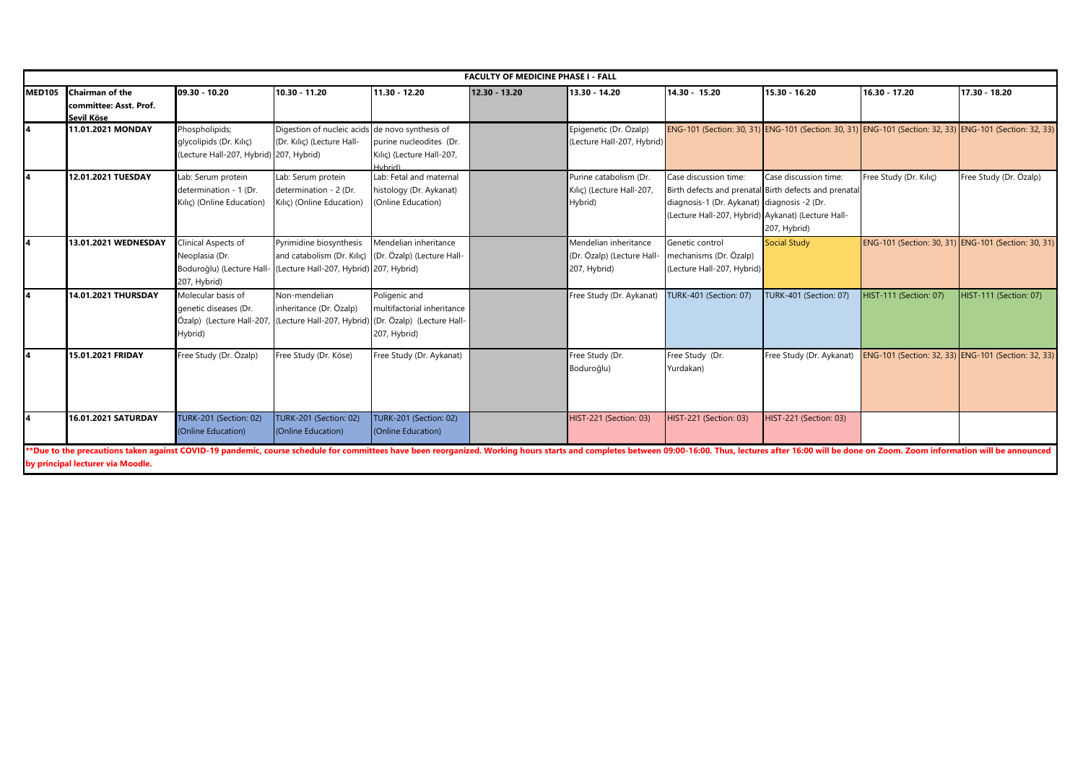|               |                                                                |                                                                                      |                                                                                                                             |                                                                          | <b>FACULTY OF MEDICINE PHASE I - FALL</b> |                                                                     |                                                                                                                                                                                    |                                       |                                                                                                         |                               |
|---------------|----------------------------------------------------------------|--------------------------------------------------------------------------------------|-----------------------------------------------------------------------------------------------------------------------------|--------------------------------------------------------------------------|-------------------------------------------|---------------------------------------------------------------------|------------------------------------------------------------------------------------------------------------------------------------------------------------------------------------|---------------------------------------|---------------------------------------------------------------------------------------------------------|-------------------------------|
| <b>MED105</b> | <b>Chairman of the</b><br>committee: Asst. Prof.<br>Sevil Köse | 09.30 - 10.20                                                                        | 10.30 - 11.20                                                                                                               | 11.30 - 12.20                                                            | 12.30 - 13.20                             | 13.30 - 14.20                                                       | 14.30 - 15.20                                                                                                                                                                      | 15.30 - 16.20                         | 16.30 - 17.20                                                                                           | 17.30 - 18.20                 |
|               | 11.01.2021 MONDAY                                              | Phospholipids;<br>glycolipids (Dr. Kılıç)<br>(Lecture Hall-207, Hybrid) 207, Hybrid) | Digestion of nucleic acids de novo synthesis of<br>(Dr. Kılıç) (Lecture Hall-                                               | purine nucleodites (Dr.<br>Kılıç) (Lecture Hall-207,<br>Hybrid)          |                                           | Epigenetic (Dr. Özalp)<br>(Lecture Hall-207, Hybrid)                |                                                                                                                                                                                    |                                       | ENG-101 (Section: 30, 31) ENG-101 (Section: 30, 31) ENG-101 (Section: 32, 33) ENG-101 (Section: 32, 33) |                               |
|               | 12.01.2021 TUESDAY                                             | Lab: Serum protein<br>determination - 1 (Dr.<br>Kılıç) (Online Education)            | Lab: Serum protein<br>determination - 2 (Dr.<br>Kılıç) (Online Education)                                                   | Lab: Fetal and maternal<br>histology (Dr. Aykanat)<br>(Online Education) |                                           | Purine catabolism (Dr.<br>Kılıç) (Lecture Hall-207,<br>Hybrid)      | Case discussion time:<br>Birth defects and prenatal Birth defects and prenata<br>diagnosis-1 (Dr. Aykanat) diagnosis -2 (Dr.<br>(Lecture Hall-207, Hybrid) Aykanat) (Lecture Hall- | Case discussion time:<br>207, Hybrid) | Free Study (Dr. Kiliç)                                                                                  | Free Study (Dr. Özalp)        |
|               | 13.01.2021 WEDNESDAY                                           | Clinical Aspects of<br>Neoplasia (Dr.<br>Boduroğlu) (Lecture Hall-<br>207, Hybrid)   | Pyrimidine biosynthesis<br>and catabolism (Dr. Kılıç) (Dr. Özalp) (Lecture Hall-<br>(Lecture Hall-207, Hybrid) 207, Hybrid) | Mendelian inheritance                                                    |                                           | Mendelian inheritance<br>(Dr. Özalp) (Lecture Hall-<br>207, Hybrid) | Genetic control<br>mechanisms (Dr. Özalp)<br>(Lecture Hall-207, Hybrid)                                                                                                            | <b>Social Study</b>                   | ENG-101 (Section: 30, 31) ENG-101 (Section: 30, 31)                                                     |                               |
|               | 14.01.2021 THURSDAY                                            | Molecular basis of<br>genetic diseases (Dr.<br>Hybrid)                               | Non-mendelian<br>inheritance (Dr. Özalp)<br>Özalp) (Lecture Hall-207, (Lecture Hall-207, Hybrid) (Dr. Özalp) (Lecture Hall- | Poligenic and<br>multifactorial inheritance<br>207, Hybrid)              |                                           | Free Study (Dr. Aykanat)                                            | <b>TURK-401 (Section: 07)</b>                                                                                                                                                      | <b>TURK-401 (Section: 07)</b>         | <b>HIST-111 (Section: 07)</b>                                                                           | <b>HIST-111 (Section: 07)</b> |
|               | 15.01.2021 FRIDAY                                              | Free Study (Dr. Özalp)                                                               | Free Study (Dr. Köse)                                                                                                       | Free Study (Dr. Aykanat)                                                 |                                           | Free Study (Dr.<br>Boduroğlu)                                       | Free Study (Dr.<br>Yurdakan)                                                                                                                                                       | Free Study (Dr. Aykanat)              | ENG-101 (Section: 32, 33) ENG-101 (Section: 32, 33)                                                     |                               |
|               | 16.01.2021 SATURDAY                                            | <b>TURK-201 (Section: 02)</b><br>(Online Education)                                  | <b>TURK-201 (Section: 02)</b><br>(Online Education)                                                                         | TURK-201 (Section: 02)<br>(Online Education)                             |                                           | HIST-221 (Section: 03)                                              | <b>HIST-221 (Section: 03)</b>                                                                                                                                                      | HIST-221 (Section: 03)                |                                                                                                         |                               |